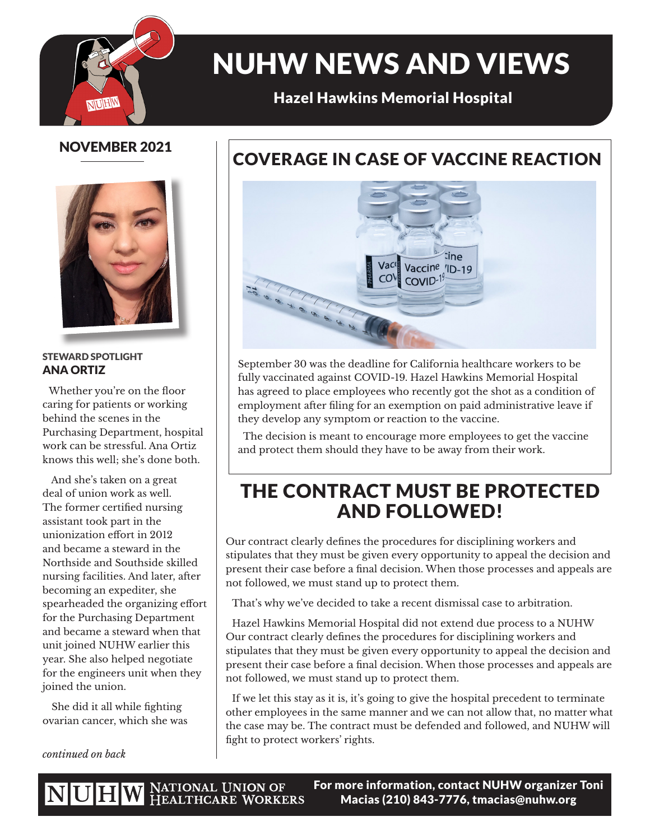

# NUHW NEWS AND VIEWS

## Hazel Hawkins Memorial Hospital

## NOVEMBER 2021



#### STEWARD SPOTLIGHT ANA ORTIZ

Whether you're on the floor caring for patients or working behind the scenes in the Purchasing Department, hospital work can be stressful. Ana Ortiz knows this well; she's done both.

 And she's taken on a great deal of union work as well. The former certified nursing assistant took part in the unionization effort in 2012 and became a steward in the Northside and Southside skilled nursing facilities. And later, after becoming an expediter, she spearheaded the organizing effort for the Purchasing Department and became a steward when that unit joined NUHW earlier this year. She also helped negotiate for the engineers unit when they joined the union.

 She did it all while fighting ovarian cancer, which she was

*continued on back*

# COVERAGE IN CASE OF VACCINE REACTION



September 30 was the deadline for California healthcare workers to be fully vaccinated against COVID-19. Hazel Hawkins Memorial Hospital has agreed to place employees who recently got the shot as a condition of employment after filing for an exemption on paid administrative leave if they develop any symptom or reaction to the vaccine.

 The decision is meant to encourage more employees to get the vaccine and protect them should they have to be away from their work.

# THE CONTRACT MUST BE PROTECTED AND FOLLOWED!

Our contract clearly defines the procedures for disciplining workers and stipulates that they must be given every opportunity to appeal the decision and present their case before a final decision. When those processes and appeals are not followed, we must stand up to protect them.

That's why we've decided to take a recent dismissal case to arbitration.

Hazel Hawkins Memorial Hospital did not extend due process to a NUHW Our contract clearly defines the procedures for disciplining workers and stipulates that they must be given every opportunity to appeal the decision and present their case before a final decision. When those processes and appeals are not followed, we must stand up to protect them.

If we let this stay as it is, it's going to give the hospital precedent to terminate other employees in the same manner and we can not allow that, no matter what the case may be. The contract must be defended and followed, and NUHW will fight to protect workers' rights.

NUHW NATIONAL UNION OF HEALTHCARE WORKERS

For more information, contact NUHW organizer Toni Macias (210) 843-7776, tmacias@nuhw.org